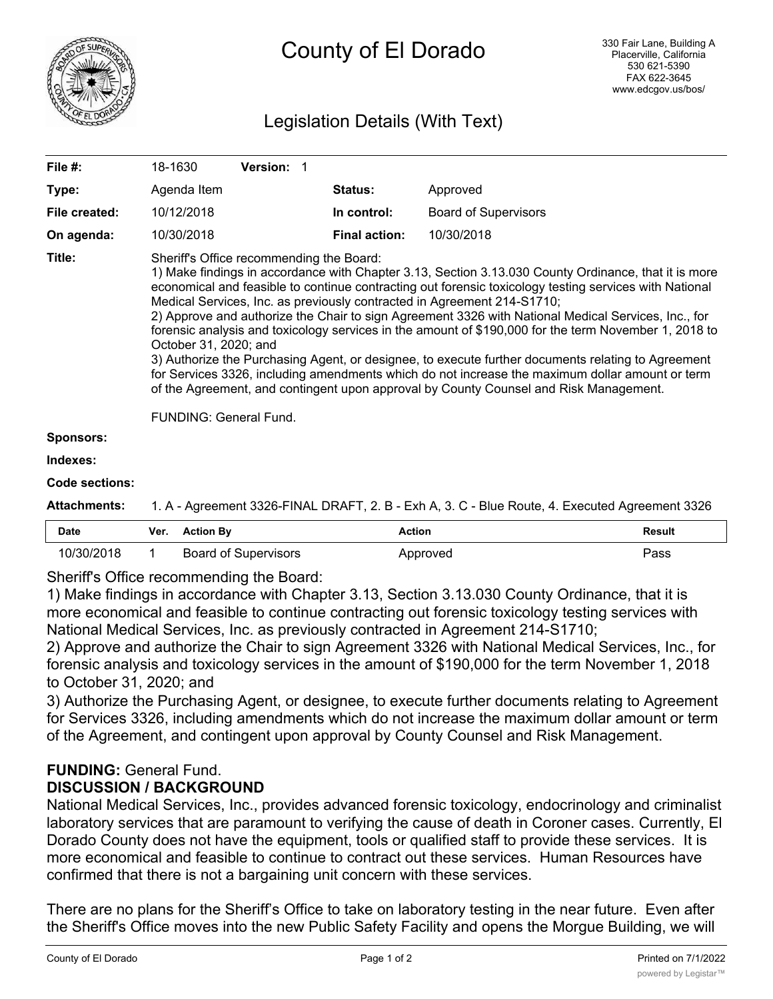

# Legislation Details (With Text)

| File #:       | 18-1630                                                                                                                                                                                                                                                                                                                                                                                                                                                                                                                                                                                                                                                                                                                                                                                                                                                                                                           | <b>Version:</b> |                      |                             |  |  |
|---------------|-------------------------------------------------------------------------------------------------------------------------------------------------------------------------------------------------------------------------------------------------------------------------------------------------------------------------------------------------------------------------------------------------------------------------------------------------------------------------------------------------------------------------------------------------------------------------------------------------------------------------------------------------------------------------------------------------------------------------------------------------------------------------------------------------------------------------------------------------------------------------------------------------------------------|-----------------|----------------------|-----------------------------|--|--|
| Type:         | Agenda Item                                                                                                                                                                                                                                                                                                                                                                                                                                                                                                                                                                                                                                                                                                                                                                                                                                                                                                       |                 | <b>Status:</b>       | Approved                    |  |  |
| File created: | 10/12/2018                                                                                                                                                                                                                                                                                                                                                                                                                                                                                                                                                                                                                                                                                                                                                                                                                                                                                                        |                 | In control:          | <b>Board of Supervisors</b> |  |  |
| On agenda:    | 10/30/2018                                                                                                                                                                                                                                                                                                                                                                                                                                                                                                                                                                                                                                                                                                                                                                                                                                                                                                        |                 | <b>Final action:</b> | 10/30/2018                  |  |  |
| Title:        | Sheriff's Office recommending the Board:<br>1) Make findings in accordance with Chapter 3.13, Section 3.13.030 County Ordinance, that it is more<br>economical and feasible to continue contracting out forensic toxicology testing services with National<br>Medical Services, Inc. as previously contracted in Agreement 214-S1710;<br>2) Approve and authorize the Chair to sign Agreement 3326 with National Medical Services, Inc., for<br>forensic analysis and toxicology services in the amount of \$190,000 for the term November 1, 2018 to<br>October 31, 2020; and<br>3) Authorize the Purchasing Agent, or designee, to execute further documents relating to Agreement<br>for Services 3326, including amendments which do not increase the maximum dollar amount or term<br>of the Agreement, and contingent upon approval by County Counsel and Risk Management.<br><b>FUNDING: General Fund.</b> |                 |                      |                             |  |  |
| Sponsors:     |                                                                                                                                                                                                                                                                                                                                                                                                                                                                                                                                                                                                                                                                                                                                                                                                                                                                                                                   |                 |                      |                             |  |  |
| Indexes:      |                                                                                                                                                                                                                                                                                                                                                                                                                                                                                                                                                                                                                                                                                                                                                                                                                                                                                                                   |                 |                      |                             |  |  |
|               |                                                                                                                                                                                                                                                                                                                                                                                                                                                                                                                                                                                                                                                                                                                                                                                                                                                                                                                   |                 |                      |                             |  |  |

#### **Code sections:**

**Attachments:** 1. A - Agreement 3326-FINAL DRAFT, 2. B - Exh A, 3. C - Blue Route, 4. Executed Agreement 3326

| Date | Ver. | tion Bv                   | Action          | Result<br>. |
|------|------|---------------------------|-----------------|-------------|
| ح ا  |      | Supervisors<br>Board of " | <b>\pproved</b> | Pass        |

Sheriff's Office recommending the Board:

1) Make findings in accordance with Chapter 3.13, Section 3.13.030 County Ordinance, that it is more economical and feasible to continue contracting out forensic toxicology testing services with National Medical Services, Inc. as previously contracted in Agreement 214-S1710;

2) Approve and authorize the Chair to sign Agreement 3326 with National Medical Services, Inc., for forensic analysis and toxicology services in the amount of \$190,000 for the term November 1, 2018 to October 31, 2020; and

3) Authorize the Purchasing Agent, or designee, to execute further documents relating to Agreement for Services 3326, including amendments which do not increase the maximum dollar amount or term of the Agreement, and contingent upon approval by County Counsel and Risk Management.

## **FUNDING:** General Fund. **DISCUSSION / BACKGROUND**

National Medical Services, Inc., provides advanced forensic toxicology, endocrinology and criminalist laboratory services that are paramount to verifying the cause of death in Coroner cases. Currently, El Dorado County does not have the equipment, tools or qualified staff to provide these services. It is more economical and feasible to continue to contract out these services. Human Resources have confirmed that there is not a bargaining unit concern with these services.

There are no plans for the Sheriff's Office to take on laboratory testing in the near future. Even after the Sheriff's Office moves into the new Public Safety Facility and opens the Morgue Building, we will